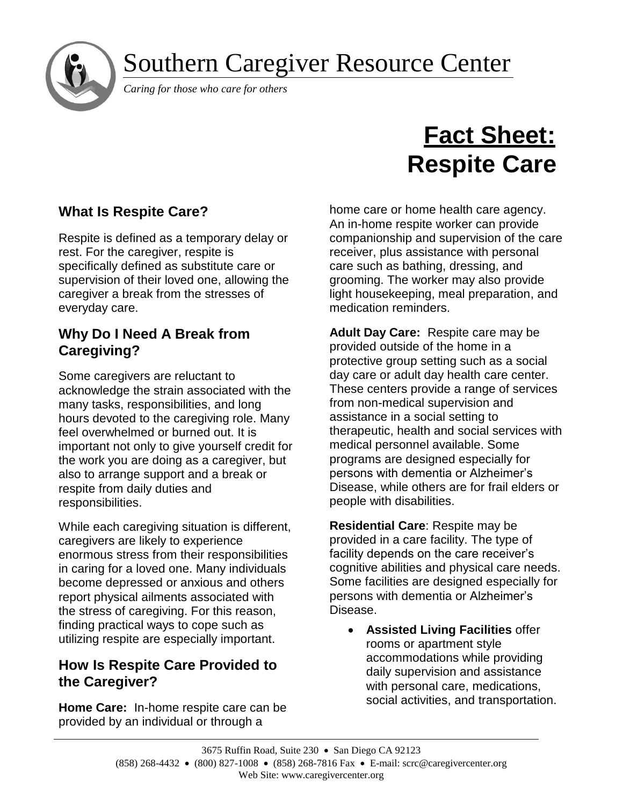Southern Caregiver Resource Center



*Caring for those who care for others*

# **Fact Sheet: Respite Care**

# **What Is Respite Care?**

Respite is defined as a temporary delay or rest. For the caregiver, respite is specifically defined as substitute care or supervision of their loved one, allowing the caregiver a break from the stresses of everyday care.

## **Why Do I Need A Break from Caregiving?**

Some caregivers are reluctant to acknowledge the strain associated with the many tasks, responsibilities, and long hours devoted to the caregiving role. Many feel overwhelmed or burned out. It is important not only to give yourself credit for the work you are doing as a caregiver, but also to arrange support and a break or respite from daily duties and responsibilities.

While each caregiving situation is different, caregivers are likely to experience enormous stress from their responsibilities in caring for a loved one. Many individuals become depressed or anxious and others report physical ailments associated with the stress of caregiving. For this reason, finding practical ways to cope such as utilizing respite are especially important.

## **How Is Respite Care Provided to the Caregiver?**

**Home Care:** In-home respite care can be provided by an individual or through a

home care or home health care agency. An in-home respite worker can provide companionship and supervision of the care receiver, plus assistance with personal care such as bathing, dressing, and grooming. The worker may also provide light housekeeping, meal preparation, and medication reminders.

**Adult Day Care:** Respite care may be provided outside of the home in a protective group setting such as a social day care or adult day health care center. These centers provide a range of services from non-medical supervision and assistance in a social setting to therapeutic, health and social services with medical personnel available. Some programs are designed especially for persons with dementia or Alzheimer's Disease, while others are for frail elders or people with disabilities.

**Residential Care**: Respite may be provided in a care facility. The type of facility depends on the care receiver's cognitive abilities and physical care needs. Some facilities are designed especially for persons with dementia or Alzheimer's Disease.

• **Assisted Living Facilities** offer rooms or apartment style accommodations while providing daily supervision and assistance with personal care, medications, social activities, and transportation.